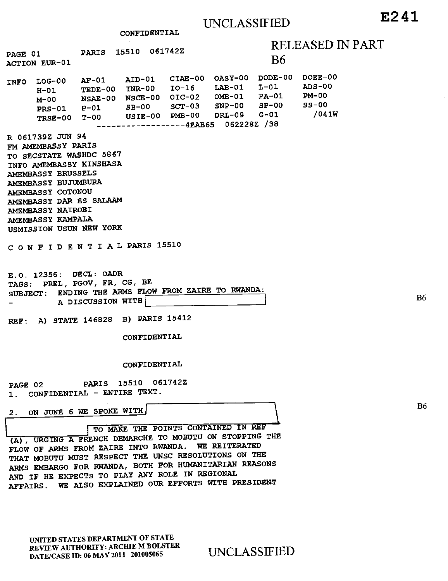CONFIDENTIAL

|                                                                                                                                                                                                                                                                                            |  | PAGE 01 PARIS 15510 061742Z |  |  |                                                                                                                                                                                                                                                                                         | RELEASED IN |           |       |
|--------------------------------------------------------------------------------------------------------------------------------------------------------------------------------------------------------------------------------------------------------------------------------------------|--|-----------------------------|--|--|-----------------------------------------------------------------------------------------------------------------------------------------------------------------------------------------------------------------------------------------------------------------------------------------|-------------|-----------|-------|
| ACTION EUR-01                                                                                                                                                                                                                                                                              |  |                             |  |  |                                                                                                                                                                                                                                                                                         |             | <b>B6</b> |       |
|                                                                                                                                                                                                                                                                                            |  |                             |  |  | INFO LOG-00 AF-01 AID-01 CIAE-00 OASY-00 DODE-00 DOEE-00<br>H-01 TEDE-00 INR-00 IO-16 LAB-01 L-01 ADS-00<br>M-00 NSAE-00 NSCE-00 OIC-02 OMB-01 PA-01 PM-00<br>PRS-01 P-01 SB-00 SCT-03 SNP-00 SP-00 SS-00<br>TRSE-00 T-00 USIE-00 PMB-00 DRL-09 G-01<br>-------------4EAB65 062228Z /38 |             |           | /041W |
| R 061739Z JUN 94<br>FM AMEMBASSY PARIS<br>TO SECSTATE WASHDC 5867<br>INFO AMEMBASSY KINSHASA<br>AMEMBASSY BRUSSELS<br>AMEMBASSY BUJUMBURA<br>AMEMBASSY COTONOU<br>AMEMBASSY DAR ES SALAAM<br>AMEMBASSY NAIROBI<br>AMEMBASSY KAMPALA<br>USMISSION USUN NEW YORK<br>CONFIDENTIAL PARIS 15510 |  |                             |  |  |                                                                                                                                                                                                                                                                                         |             |           |       |
| E.O. 12356: DECL: OADR<br>TAGS: PREL, PGOV, FR, CG, BE<br>SUBJECT: ENDING THE ARMS FLOW FROM ZAIRE TO RWANDA:<br>A DISCUSSION WITH                                                                                                                                                         |  |                             |  |  |                                                                                                                                                                                                                                                                                         |             |           |       |
| REF: A) STATE 146828 B) PARIS 15412                                                                                                                                                                                                                                                        |  |                             |  |  |                                                                                                                                                                                                                                                                                         |             |           |       |
| CONFIDENTIAL                                                                                                                                                                                                                                                                               |  |                             |  |  |                                                                                                                                                                                                                                                                                         |             |           |       |
| CONFIDENTIAL                                                                                                                                                                                                                                                                               |  |                             |  |  |                                                                                                                                                                                                                                                                                         |             |           |       |
| PAGE 02 PARIS 15510 061742Z<br>1. CONFIDENTIAL - ENTIRE TEXT.                                                                                                                                                                                                                              |  |                             |  |  |                                                                                                                                                                                                                                                                                         |             |           |       |
| 2. ON JUNE 6 WE SPOKE WITH                                                                                                                                                                                                                                                                 |  |                             |  |  |                                                                                                                                                                                                                                                                                         |             |           |       |

TO MAKE THE POINTS CONTAINED IN REF  $\overline{(\text{A})}$ , URGING A FRENCH DEMARCHE TO MOBUTU ON STOPPING THE FLOW OF ARMS FROM ZAIRE INTO RWANDA. THAT MOBUTU MUST RESPECT THE UNSC RESOLUTIONS ON THE ARMS EMBARGO FOR RWANDA, BOTH FOR HUMANITARIAN REASONS AND IF HE EXPECTS TO PLAY ANY ROLE IN REGIONAL AFFAIRS. WE ALSO EXPLAINED OUR EFFORTS WITH PRESIDENT

UNITED STATES DEPARTMENT OF STATE REVIEW AUTHORITY: ARCHIE M BOLSTER REVIEW AUTHORITY: ARCHIL M BOLSTER UNCLASSIFIED<br>DATE/CASE ID: 06 MAY 2011 201005065 UNCLASSIFIED

Il

B6

B6

PART